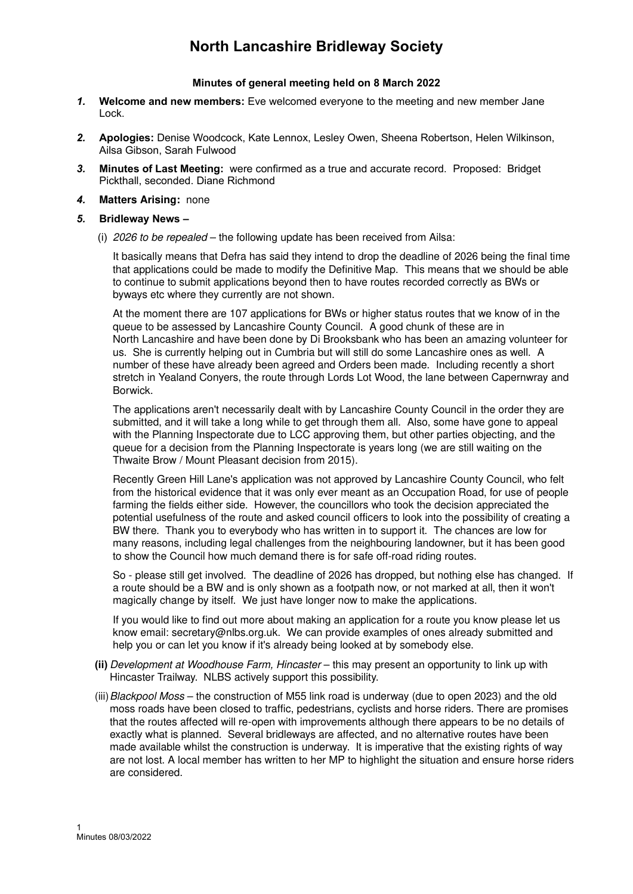# **North Lancashire Bridleway Society**

### **Minutes of general meeting held on 8 March 2022**

- *1.* **Welcome and new members:** Eve welcomed everyone to the meeting and new member Jane Lock.
- *2.* **Apologies:** Denise Woodcock, Kate Lennox, Lesley Owen, Sheena Robertson, Helen Wilkinson, Ailsa Gibson, Sarah Fulwood
- *3.* **Minutes of Last Meeting:** were confirmed as a true and accurate record. Proposed: Bridget Pickthall, seconded. Diane Richmond
- *4.* **Matters Arising:** none

### *5.* **Bridleway News –**

(i) *2026 to be repealed* – the following update has been received from Ailsa:

It basically means that Defra has said they intend to drop the deadline of 2026 being the final time that applications could be made to modify the Definitive Map. This means that we should be able to continue to submit applications beyond then to have routes recorded correctly as BWs or byways etc where they currently are not shown.

At the moment there are 107 applications for BWs or higher status routes that we know of in the queue to be assessed by Lancashire County Council. A good chunk of these are in North Lancashire and have been done by Di Brooksbank who has been an amazing volunteer for us. She is currently helping out in Cumbria but will still do some Lancashire ones as well. A number of these have already been agreed and Orders been made. Including recently a short stretch in Yealand Conyers, the route through Lords Lot Wood, the lane between Capernwray and Borwick.

The applications aren't necessarily dealt with by Lancashire County Council in the order they are submitted, and it will take a long while to get through them all. Also, some have gone to appeal with the Planning Inspectorate due to LCC approving them, but other parties objecting, and the queue for a decision from the Planning Inspectorate is years long (we are still waiting on the Thwaite Brow / Mount Pleasant decision from 2015).

Recently Green Hill Lane's application was not approved by Lancashire County Council, who felt from the historical evidence that it was only ever meant as an Occupation Road, for use of people farming the fields either side. However, the councillors who took the decision appreciated the potential usefulness of the route and asked council officers to look into the possibility of creating a BW there. Thank you to everybody who has written in to support it. The chances are low for many reasons, including legal challenges from the neighbouring landowner, but it has been good to show the Council how much demand there is for safe off-road riding routes.

So - please still get involved. The deadline of 2026 has dropped, but nothing else has changed. If a route should be a BW and is only shown as a footpath now, or not marked at all, then it won't magically change by itself. We just have longer now to make the applications.

If you would like to find out more about making an application for a route you know please let us know email: secretary@nlbs.org.uk. We can provide examples of ones already submitted and help you or can let you know if it's already being looked at by somebody else.

- **(ii)** *Development at Woodhouse Farm, Hincaster*  this may present an opportunity to link up with Hincaster Trailway. NLBS actively support this possibility.
- (iii)*Blackpool Moss*  the construction of M55 link road is underway (due to open 2023) and the old moss roads have been closed to traffic, pedestrians, cyclists and horse riders. There are promises that the routes affected will re-open with improvements although there appears to be no details of exactly what is planned. Several bridleways are affected, and no alternative routes have been made available whilst the construction is underway. It is imperative that the existing rights of way are not lost. A local member has written to her MP to highlight the situation and ensure horse riders are considered.